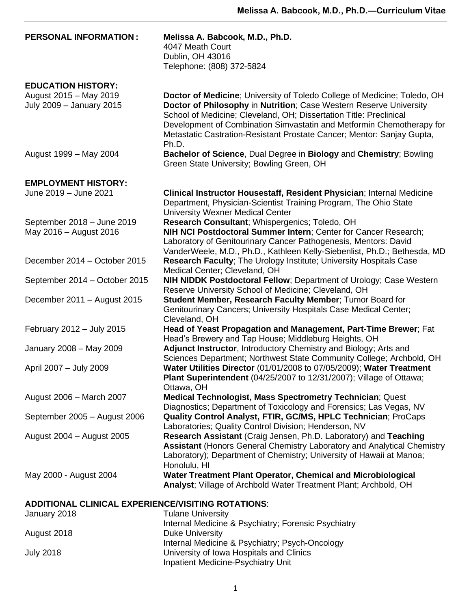| <b>PERSONAL INFORMATION:</b>                                                                          | Melissa A. Babcook, M.D., Ph.D.<br>4047 Meath Court<br>Dublin, OH 43016<br>Telephone: (808) 372-5824                                                                                                                                                                                                                                                                             |  |
|-------------------------------------------------------------------------------------------------------|----------------------------------------------------------------------------------------------------------------------------------------------------------------------------------------------------------------------------------------------------------------------------------------------------------------------------------------------------------------------------------|--|
| <b>EDUCATION HISTORY:</b><br>August 2015 - May 2019<br>July 2009 - January 2015                       | Doctor of Medicine; University of Toledo College of Medicine; Toledo, OH<br>Doctor of Philosophy in Nutrition; Case Western Reserve University<br>School of Medicine; Cleveland, OH; Dissertation Title: Preclinical<br>Development of Combination Simvastatin and Metformin Chemotherapy for<br>Metastatic Castration-Resistant Prostate Cancer; Mentor: Sanjay Gupta,<br>Ph.D. |  |
| August 1999 - May 2004                                                                                | Bachelor of Science, Dual Degree in Biology and Chemistry; Bowling<br>Green State University; Bowling Green, OH                                                                                                                                                                                                                                                                  |  |
| <b>EMPLOYMENT HISTORY:</b>                                                                            |                                                                                                                                                                                                                                                                                                                                                                                  |  |
| June 2019 - June 2021                                                                                 | Clinical Instructor Housestaff, Resident Physician; Internal Medicine<br>Department, Physician-Scientist Training Program, The Ohio State<br><b>University Wexner Medical Center</b>                                                                                                                                                                                             |  |
| September 2018 - June 2019<br>May 2016 - August 2016                                                  | Research Consultant; Whispergenics; Toledo, OH<br>NIH NCI Postdoctoral Summer Intern; Center for Cancer Research;<br>Laboratory of Genitourinary Cancer Pathogenesis, Mentors: David<br>VanderWeele, M.D., Ph.D., Kathleen Kelly-Siebenlist, Ph.D.; Bethesda, MD                                                                                                                 |  |
| December 2014 - October 2015                                                                          | <b>Research Faculty: The Urology Institute: University Hospitals Case</b><br>Medical Center; Cleveland, OH                                                                                                                                                                                                                                                                       |  |
| September 2014 - October 2015                                                                         | <b>NIH NIDDK Postdoctoral Fellow</b> ; Department of Urology; Case Western<br>Reserve University School of Medicine; Cleveland, OH                                                                                                                                                                                                                                               |  |
| December 2011 - August 2015                                                                           | Student Member, Research Faculty Member; Tumor Board for<br>Genitourinary Cancers; University Hospitals Case Medical Center;<br>Cleveland, OH                                                                                                                                                                                                                                    |  |
| February 2012 - July 2015                                                                             | Head of Yeast Propagation and Management, Part-Time Brewer; Fat<br>Head's Brewery and Tap House; Middleburg Heights, OH                                                                                                                                                                                                                                                          |  |
| January 2008 - May 2009                                                                               | Adjunct Instructor, Introductory Chemistry and Biology; Arts and<br>Sciences Department; Northwest State Community College; Archbold, OH                                                                                                                                                                                                                                         |  |
| April 2007 - July 2009                                                                                | Water Utilities Director (01/01/2008 to 07/05/2009); Water Treatment<br>Plant Superintendent (04/25/2007 to 12/31/2007); Village of Ottawa;<br>Ottawa, OH                                                                                                                                                                                                                        |  |
| August 2006 - March 2007                                                                              | Medical Technologist, Mass Spectrometry Technician; Quest<br>Diagnostics; Department of Toxicology and Forensics; Las Vegas, NV                                                                                                                                                                                                                                                  |  |
| September 2005 - August 2006                                                                          | Quality Control Analyst, FTIR, GC/MS, HPLC Technician; ProCaps<br>Laboratories; Quality Control Division; Henderson, NV                                                                                                                                                                                                                                                          |  |
| August 2004 - August 2005                                                                             | Research Assistant (Craig Jensen, Ph.D. Laboratory) and Teaching<br><b>Assistant (Honors General Chemistry Laboratory and Analytical Chemistry</b><br>Laboratory); Department of Chemistry; University of Hawaii at Manoa;<br>Honolulu, HI                                                                                                                                       |  |
| May 2000 - August 2004                                                                                | Water Treatment Plant Operator, Chemical and Microbiological<br>Analyst; Village of Archbold Water Treatment Plant; Archbold, OH                                                                                                                                                                                                                                                 |  |
| <b>ADDITIONAL CLINICAL EXPERIENCE/VISITING ROTATIONS:</b><br>January 2018<br><b>Tulane University</b> |                                                                                                                                                                                                                                                                                                                                                                                  |  |
|                                                                                                       | Internal Medicine & Psychiatry; Forensic Psychiatry                                                                                                                                                                                                                                                                                                                              |  |
| August 2018                                                                                           | <b>Duke University</b><br>Internal Medicine & Psychiatry; Psych-Oncology                                                                                                                                                                                                                                                                                                         |  |
| <b>July 2018</b>                                                                                      | University of Iowa Hospitals and Clinics<br>Inpatient Medicine-Psychiatry Unit                                                                                                                                                                                                                                                                                                   |  |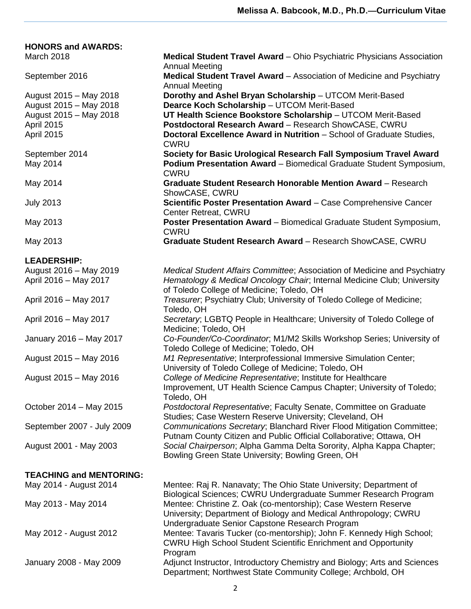| <b>HONORS and AWARDS:</b>                        |                                                                                                                                                                                                            |
|--------------------------------------------------|------------------------------------------------------------------------------------------------------------------------------------------------------------------------------------------------------------|
| March 2018                                       | <b>Medical Student Travel Award</b> – Ohio Psychiatric Physicians Association<br><b>Annual Meeting</b>                                                                                                     |
| September 2016                                   | Medical Student Travel Award - Association of Medicine and Psychiatry<br><b>Annual Meeting</b>                                                                                                             |
| August 2015 - May 2018                           | Dorothy and Ashel Bryan Scholarship - UTCOM Merit-Based                                                                                                                                                    |
| August 2015 - May 2018<br>August 2015 - May 2018 | Dearce Koch Scholarship - UTCOM Merit-Based<br>UT Health Science Bookstore Scholarship - UTCOM Merit-Based                                                                                                 |
| <b>April 2015</b>                                | Postdoctoral Research Award - Research ShowCASE, CWRU                                                                                                                                                      |
| April 2015                                       | Doctoral Excellence Award in Nutrition - School of Graduate Studies,<br><b>CWRU</b>                                                                                                                        |
| September 2014<br>May 2014                       | Society for Basic Urological Research Fall Symposium Travel Award<br>Podium Presentation Award - Biomedical Graduate Student Symposium,<br><b>CWRU</b>                                                     |
| May 2014                                         | <b>Graduate Student Research Honorable Mention Award - Research</b><br>ShowCASE, CWRU                                                                                                                      |
| <b>July 2013</b>                                 | Scientific Poster Presentation Award - Case Comprehensive Cancer<br><b>Center Retreat, CWRU</b>                                                                                                            |
| May 2013                                         | Poster Presentation Award - Biomedical Graduate Student Symposium,<br><b>CWRU</b>                                                                                                                          |
| May 2013                                         | Graduate Student Research Award - Research ShowCASE, CWRU                                                                                                                                                  |
| <b>LEADERSHIP:</b>                               |                                                                                                                                                                                                            |
| August 2016 - May 2019                           | Medical Student Affairs Committee; Association of Medicine and Psychiatry                                                                                                                                  |
| April 2016 - May 2017                            | Hematology & Medical Oncology Chair, Internal Medicine Club; University<br>of Toledo College of Medicine; Toledo, OH                                                                                       |
| April 2016 - May 2017                            | Treasurer, Psychiatry Club; University of Toledo College of Medicine;<br>Toledo, OH                                                                                                                        |
| April 2016 - May 2017                            | Secretary; LGBTQ People in Healthcare; University of Toledo College of<br>Medicine; Toledo, OH                                                                                                             |
| January 2016 - May 2017                          | Co-Founder/Co-Coordinator, M1/M2 Skills Workshop Series; University of<br>Toledo College of Medicine; Toledo, OH                                                                                           |
| August 2015 - May 2016                           | M1 Representative; Interprofessional Immersive Simulation Center;<br>University of Toledo College of Medicine; Toledo, OH                                                                                  |
| August 2015 - May 2016                           | College of Medicine Representative; Institute for Healthcare<br>Improvement, UT Health Science Campus Chapter; University of Toledo;<br>Toledo, OH                                                         |
| October 2014 - May 2015                          | Postdoctoral Representative; Faculty Senate, Committee on Graduate<br>Studies; Case Western Reserve University; Cleveland, OH                                                                              |
| September 2007 - July 2009                       | Communications Secretary; Blanchard River Flood Mitigation Committee;<br>Putnam County Citizen and Public Official Collaborative; Ottawa, OH                                                               |
| August 2001 - May 2003                           | Social Chairperson; Alpha Gamma Delta Sorority, Alpha Kappa Chapter;<br>Bowling Green State University; Bowling Green, OH                                                                                  |
| <b>TEACHING and MENTORING:</b>                   |                                                                                                                                                                                                            |
| May 2014 - August 2014                           | Mentee: Raj R. Nanavaty; The Ohio State University; Department of                                                                                                                                          |
| May 2013 - May 2014                              | Biological Sciences; CWRU Undergraduate Summer Research Program<br>Mentee: Christine Z. Oak (co-mentorship); Case Western Reserve<br>University; Department of Biology and Medical Anthropology; CWRU      |
| May 2012 - August 2012                           | Undergraduate Senior Capstone Research Program<br>Mentee: Tavaris Tucker (co-mentorship); John F. Kennedy High School;<br><b>CWRU High School Student Scientific Enrichment and Opportunity</b><br>Program |
| January 2008 - May 2009                          | Adjunct Instructor, Introductory Chemistry and Biology; Arts and Sciences<br>Department; Northwest State Community College; Archbold, OH                                                                   |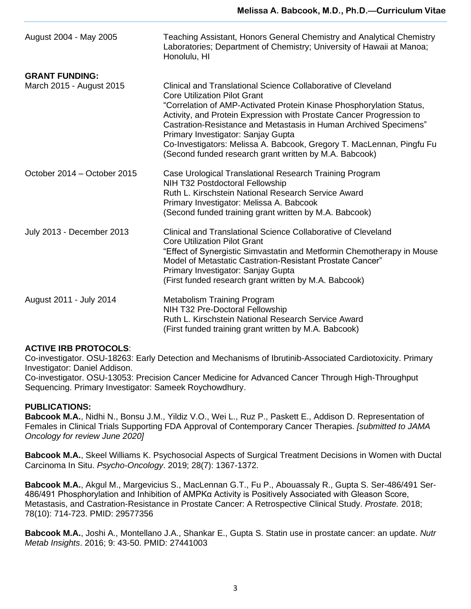| August 2004 - May 2005      | Teaching Assistant, Honors General Chemistry and Analytical Chemistry<br>Laboratories; Department of Chemistry; University of Hawaii at Manoa;<br>Honolulu, HI                                                                                                                                                                                                                                                                                                                                     |
|-----------------------------|----------------------------------------------------------------------------------------------------------------------------------------------------------------------------------------------------------------------------------------------------------------------------------------------------------------------------------------------------------------------------------------------------------------------------------------------------------------------------------------------------|
| <b>GRANT FUNDING:</b>       |                                                                                                                                                                                                                                                                                                                                                                                                                                                                                                    |
| March 2015 - August 2015    | Clinical and Translational Science Collaborative of Cleveland<br><b>Core Utilization Pilot Grant</b><br>"Correlation of AMP-Activated Protein Kinase Phosphorylation Status,<br>Activity, and Protein Expression with Prostate Cancer Progression to<br>Castration-Resistance and Metastasis in Human Archived Specimens"<br>Primary Investigator: Sanjay Gupta<br>Co-Investigators: Melissa A. Babcook, Gregory T. MacLennan, Pingfu Fu<br>(Second funded research grant written by M.A. Babcook) |
| October 2014 – October 2015 | Case Urological Translational Research Training Program<br>NIH T32 Postdoctoral Fellowship<br>Ruth L. Kirschstein National Research Service Award<br>Primary Investigator: Melissa A. Babcook<br>(Second funded training grant written by M.A. Babcook)                                                                                                                                                                                                                                            |
| July 2013 - December 2013   | Clinical and Translational Science Collaborative of Cleveland<br><b>Core Utilization Pilot Grant</b><br>"Effect of Synergistic Simvastatin and Metformin Chemotherapy in Mouse<br>Model of Metastatic Castration-Resistant Prostate Cancer"<br>Primary Investigator: Sanjay Gupta<br>(First funded research grant written by M.A. Babcook)                                                                                                                                                         |
| August 2011 - July 2014     | <b>Metabolism Training Program</b><br>NIH T32 Pre-Doctoral Fellowship<br>Ruth L. Kirschstein National Research Service Award<br>(First funded training grant written by M.A. Babcook)                                                                                                                                                                                                                                                                                                              |

## **ACTIVE IRB PROTOCOLS**:

Co-investigator. OSU-18263: Early Detection and Mechanisms of Ibrutinib-Associated Cardiotoxicity. Primary Investigator: Daniel Addison.

Co-investigator. OSU-13053: Precision Cancer Medicine for Advanced Cancer Through High-Throughput Sequencing. Primary Investigator: Sameek Roychowdhury.

## **PUBLICATIONS:**

**Babcook M.A.**, Nidhi N., Bonsu J.M., Yildiz V.O., Wei L., Ruz P., Paskett E., Addison D. Representation of Females in Clinical Trials Supporting FDA Approval of Contemporary Cancer Therapies. *[submitted to JAMA Oncology for review June 2020]*

**Babcook M.A.**, Skeel Williams K. Psychosocial Aspects of Surgical Treatment Decisions in Women with Ductal Carcinoma In Situ. *Psycho-Oncology*. 2019; 28(7): 1367-1372.

**Babcook M.A.**, Akgul M., Margevicius S., MacLennan G.T., Fu P., Abouassaly R., Gupta S. Ser-486/491 Ser-486/491 Phosphorylation and Inhibition of AMPKα Activity is Positively Associated with Gleason Score, Metastasis, and Castration-Resistance in Prostate Cancer: A Retrospective Clinical Study. *Prostate.* 2018; 78(10): 714-723. PMID: 29577356

**Babcook M.A.**, Joshi A., Montellano J.A., Shankar E., Gupta S. Statin use in prostate cancer: an update. *Nutr Metab Insights*. 2016; 9: 43-50. PMID: 27441003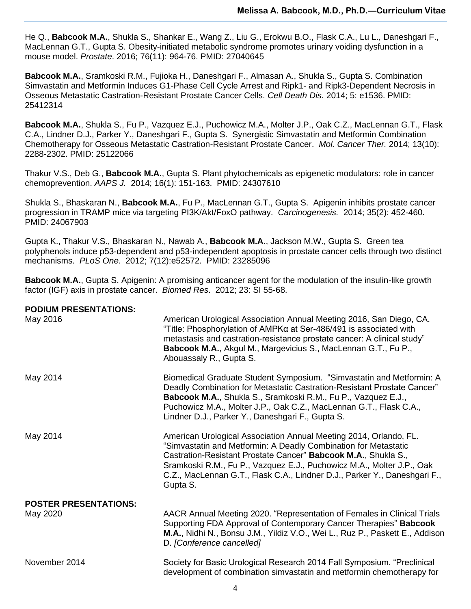He Q., **Babcook M.A.**, Shukla S., Shankar E., Wang Z., Liu G., Erokwu B.O., Flask C.A., Lu L., Daneshgari F., MacLennan G.T., Gupta S. [Obesity-initiated metabolic syndrome promotes urinary voiding dysfunction in a](http://www.ncbi.nlm.nih.gov/pubmed/27040645)  [mouse model.](http://www.ncbi.nlm.nih.gov/pubmed/27040645) *Prostate*. 2016; 76(11): 964-76. PMID: 27040645

**Babcook M.A.**, Sramkoski R.M., Fujioka H., Daneshgari F., Almasan A., Shukla S., Gupta S. Combination Simvastatin and Metformin Induces G1-Phase Cell Cycle Arrest and Ripk1- and Ripk3-Dependent Necrosis in Osseous Metastatic Castration-Resistant Prostate Cancer Cells. *Cell Death Dis.* 2014; 5: e1536. PMID: 25412314

**Babcook M.A.**, Shukla S., Fu P., Vazquez E.J., Puchowicz M.A., Molter J.P., Oak C.Z., MacLennan G.T., Flask C.A., Lindner D.J., Parker Y., Daneshgari F., Gupta S. Synergistic Simvastatin and Metformin Combination Chemotherapy for Osseous Metastatic Castration-Resistant Prostate Cancer. *Mol. Cancer Ther.* 2014; 13(10): 2288-2302. PMID: 25122066

Thakur V.S., Deb G., **Babcook M.A.**, Gupta S. Plant phytochemicals as epigenetic modulators: role in cancer chemoprevention. *AAPS J.* 2014; 16(1): 151-163. PMID: 24307610

Shukla S., Bhaskaran N., **Babcook M.A.**, Fu P., MacLennan G.T., Gupta S. Apigenin inhibits prostate cancer progression in TRAMP mice via targeting PI3K/Akt/FoxO pathway. *Carcinogenesis.* 2014; 35(2): 452-460. PMID: 24067903

Gupta K., Thakur V.S., Bhaskaran N., Nawab A., **Babcook M.A**., Jackson M.W., Gupta S. Green tea polyphenols induce p53-dependent and p53-independent apoptosis in prostate cancer cells through two distinct mechanisms. *PLoS One*. 2012; 7(12):e52572. PMID: 23285096

**Babcook M.A.**, Gupta S. Apigenin: A promising anticancer agent for the modulation of the insulin-like growth factor (IGF) axis in prostate cancer. *Biomed Res*. 2012; 23: SI 55-68.

| <b>PODIUM PRESENTATIONS:</b><br>May 2016 | American Urological Association Annual Meeting 2016, San Diego, CA.                                                                                                                                                                                                                                                                                                      |
|------------------------------------------|--------------------------------------------------------------------------------------------------------------------------------------------------------------------------------------------------------------------------------------------------------------------------------------------------------------------------------------------------------------------------|
|                                          | "Title: Phosphorylation of AMPKα at Ser-486/491 is associated with<br>metastasis and castration-resistance prostate cancer: A clinical study"<br>Babcook M.A., Akgul M., Margevicius S., MacLennan G.T., Fu P.,<br>Abouassaly R., Gupta S.                                                                                                                               |
| May 2014                                 | Biomedical Graduate Student Symposium. "Simvastatin and Metformin: A<br>Deadly Combination for Metastatic Castration-Resistant Prostate Cancer"<br>Babcook M.A., Shukla S., Sramkoski R.M., Fu P., Vazquez E.J.,<br>Puchowicz M.A., Molter J.P., Oak C.Z., MacLennan G.T., Flask C.A.,<br>Lindner D.J., Parker Y., Daneshgari F., Gupta S.                               |
| May 2014                                 | American Urological Association Annual Meeting 2014, Orlando, FL.<br>"Simvastatin and Metformin: A Deadly Combination for Metastatic<br>Castration-Resistant Prostate Cancer" Babcook M.A., Shukla S.,<br>Sramkoski R.M., Fu P., Vazquez E.J., Puchowicz M.A., Molter J.P., Oak<br>C.Z., MacLennan G.T., Flask C.A., Lindner D.J., Parker Y., Daneshgari F.,<br>Gupta S. |
| <b>POSTER PRESENTATIONS:</b>             |                                                                                                                                                                                                                                                                                                                                                                          |
| May 2020                                 | AACR Annual Meeting 2020. "Representation of Females in Clinical Trials<br>Supporting FDA Approval of Contemporary Cancer Therapies" Babcook<br>M.A., Nidhi N., Bonsu J.M., Yildiz V.O., Wei L., Ruz P., Paskett E., Addison<br>D. [Conference cancelled]                                                                                                                |
| November 2014                            | Society for Basic Urological Research 2014 Fall Symposium. "Preclinical<br>development of combination simvastatin and metformin chemotherapy for                                                                                                                                                                                                                         |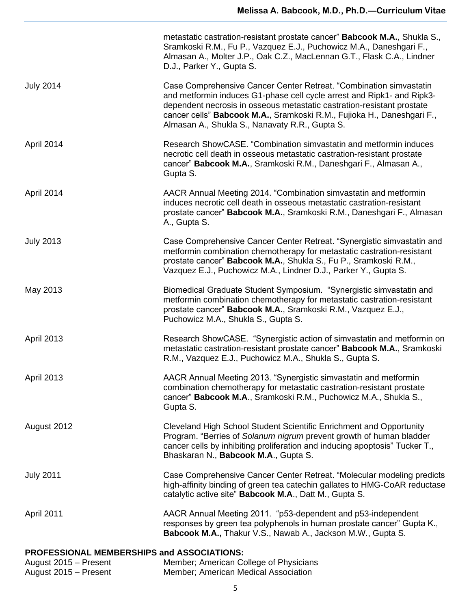|                                                | metastatic castration-resistant prostate cancer" <b>Babcook M.A.</b> , Shukla S.,<br>Sramkoski R.M., Fu P., Vazquez E.J., Puchowicz M.A., Daneshgari F.,<br>Almasan A., Molter J.P., Oak C.Z., MacLennan G.T., Flask C.A., Lindner<br>D.J., Parker Y., Gupta S.                                                                                    |
|------------------------------------------------|----------------------------------------------------------------------------------------------------------------------------------------------------------------------------------------------------------------------------------------------------------------------------------------------------------------------------------------------------|
| <b>July 2014</b>                               | Case Comprehensive Cancer Center Retreat. "Combination simvastatin<br>and metformin induces G1-phase cell cycle arrest and Ripk1- and Ripk3-<br>dependent necrosis in osseous metastatic castration-resistant prostate<br>cancer cells" Babcook M.A., Sramkoski R.M., Fujioka H., Daneshgari F.,<br>Almasan A., Shukla S., Nanavaty R.R., Gupta S. |
| April 2014                                     | Research ShowCASE. "Combination simvastatin and metformin induces<br>necrotic cell death in osseous metastatic castration-resistant prostate<br>cancer" Babcook M.A., Sramkoski R.M., Daneshgari F., Almasan A.,<br>Gupta S.                                                                                                                       |
| April 2014                                     | AACR Annual Meeting 2014. "Combination simvastatin and metformin<br>induces necrotic cell death in osseous metastatic castration-resistant<br>prostate cancer" Babcook M.A., Sramkoski R.M., Daneshgari F., Almasan<br>A., Gupta S.                                                                                                                |
| <b>July 2013</b>                               | Case Comprehensive Cancer Center Retreat. "Synergistic simvastatin and<br>metformin combination chemotherapy for metastatic castration-resistant<br>prostate cancer" Babcook M.A., Shukla S., Fu P., Sramkoski R.M.,<br>Vazquez E.J., Puchowicz M.A., Lindner D.J., Parker Y., Gupta S.                                                            |
| May 2013                                       | Biomedical Graduate Student Symposium. "Synergistic simvastatin and<br>metformin combination chemotherapy for metastatic castration-resistant<br>prostate cancer" Babcook M.A., Sramkoski R.M., Vazquez E.J.,<br>Puchowicz M.A., Shukla S., Gupta S.                                                                                               |
| <b>April 2013</b>                              | Research ShowCASE. "Synergistic action of simvastatin and metformin on<br>metastatic castration-resistant prostate cancer" Babcook M.A., Sramkoski<br>R.M., Vazquez E.J., Puchowicz M.A., Shukla S., Gupta S.                                                                                                                                      |
| April 2013                                     | AACR Annual Meeting 2013. "Synergistic simvastatin and metformin<br>combination chemotherapy for metastatic castration-resistant prostate<br>cancer" Babcook M.A., Sramkoski R.M., Puchowicz M.A., Shukla S.,<br>Gupta S.                                                                                                                          |
| August 2012                                    | Cleveland High School Student Scientific Enrichment and Opportunity<br>Program. "Berries of Solanum nigrum prevent growth of human bladder<br>cancer cells by inhibiting proliferation and inducing apoptosis" Tucker T.,<br>Bhaskaran N., Babcook M.A., Gupta S.                                                                                  |
| <b>July 2011</b>                               | Case Comprehensive Cancer Center Retreat. "Molecular modeling predicts<br>high-affinity binding of green tea catechin gallates to HMG-CoAR reductase<br>catalytic active site" <b>Babcook M.A., Datt M., Gupta S.</b>                                                                                                                              |
| April 2011                                     | AACR Annual Meeting 2011. "p53-dependent and p53-independent<br>responses by green tea polyphenols in human prostate cancer" Gupta K.,<br>Babcook M.A., Thakur V.S., Nawab A., Jackson M.W., Gupta S.                                                                                                                                              |
| PROFESSIONAL MEMBERSHIPS and ASSOCIATIONS:     |                                                                                                                                                                                                                                                                                                                                                    |
| August 2015 - Present<br>August 2015 - Present | Member; American College of Physicians<br>Member; American Medical Association                                                                                                                                                                                                                                                                     |